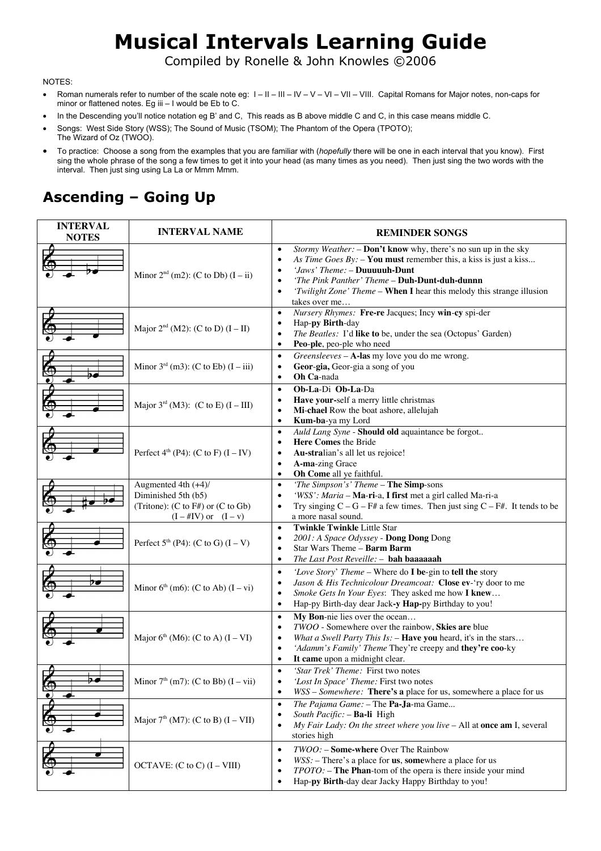## **Musical Intervals Learning Guide**

Compiled by Ronelle & John Knowles ©2006

#### NOTES:

- Roman numerals refer to number of the scale note eg:  $1 11 11 1V V VI VII$ . Capital Romans for Major notes, non-caps for minor or flattened notes. Eg iii – I would be Eb to C.
- In the Descending you'll notice notation eg B' and C, This reads as B above middle C and C, in this case means middle C.
- Songs: West Side Story (WSS); The Sound of Music (TSOM); The Phantom of the Opera (TPOTO); The Wizard of Oz (TWOO).
- To practice: Choose a song from the examples that you are familiar with (*hopefully* there will be one in each interval that you know). First sing the whole phrase of the song a few times to get it into your head (as many times as you need). Then just sing the two words with the interval. Then just sing using La La or Mmm Mmm.

#### **Ascending – Going Up**

| <b>INTERVAL</b><br><b>NOTES</b> | <b>INTERVAL NAME</b>                                                                                        | <b>REMINDER SONGS</b>                                                                                                                                                                                                                                                                                                                                  |
|---------------------------------|-------------------------------------------------------------------------------------------------------------|--------------------------------------------------------------------------------------------------------------------------------------------------------------------------------------------------------------------------------------------------------------------------------------------------------------------------------------------------------|
|                                 | Minor $2nd$ (m2): (C to Db) (I – ii)                                                                        | Stormy Weather: - Don't know why, there's no sun up in the sky<br>$\bullet$<br>As Time Goes $By:$ - You must remember this, a kiss is just a kiss<br>$\bullet$<br>'Jaws' Theme: - Duuuuuh-Dunt<br>'The Pink Panther' Theme - Duh-Dunt-duh-dunnn<br>'Twilight Zone' Theme - When I hear this melody this strange illusion<br>$\bullet$<br>takes over me |
|                                 | Major $2^{nd}$ (M2): (C to D) (I – II)                                                                      | Nursery Rhymes: Fre-re Jacques; Incy win-cy spi-der<br>$\bullet$<br>Hap-py Birth-day<br>٠<br>The Beatles: I'd like to be, under the sea (Octopus' Garden)<br>$\bullet$<br>Peo-ple, peo-ple who need<br>$\bullet$                                                                                                                                       |
|                                 | Minor $3^{rd}$ (m3): (C to Eb) $(I - iii)$                                                                  | Greensleeves - A-las my love you do me wrong.<br>$\bullet$<br>Geor-gia, Geor-gia a song of you<br>$\bullet$<br>Oh Ca-nada<br>$\bullet$                                                                                                                                                                                                                 |
|                                 | Major $3^{rd}$ (M3): (C to E) (I – III)                                                                     | Ob-La-Di Ob-La-Da<br>$\bullet$<br>Have your-self a merry little christmas<br>$\bullet$<br>Mi-chael Row the boat ashore, allelujah<br>$\bullet$<br>Kum-ba-ya my Lord<br>$\bullet$                                                                                                                                                                       |
|                                 | Perfect $4th$ (P4): (C to F) $(I - IV)$                                                                     | Auld Lang Syne - Should old aquaintance be forgot<br>$\bullet$<br>Here Comes the Bride<br>$\bullet$<br>Au-stralian's all let us rejoice!<br>$\bullet$<br>A-ma-zing Grace<br>$\bullet$<br>Oh Come all ye faithful.<br>$\bullet$                                                                                                                         |
|                                 | Augmented 4th (+4)/<br>Diminished 5th (b5)<br>(Tritone): (C to F#) or (C to Gb)<br>$(I - #IV)$ or $(I - v)$ | 'The Simpson's' Theme - The Simp-sons<br>$\bullet$<br>'WSS': Maria - Ma-ri-a, I first met a girl called Ma-ri-a<br>$\bullet$<br>Try singing $C - G - F$ # a few times. Then just sing $C - F$ #. It tends to be<br>$\bullet$<br>a more nasal sound.                                                                                                    |
|                                 | Perfect $5^{th}$ (P4): (C to G) $(I - V)$                                                                   | <b>Twinkle Twinkle Little Star</b><br>$\bullet$<br>2001: A Space Odyssey - Dong Dong Dong<br>٠<br>Star Wars Theme - Barm Barm<br>$\bullet$<br>The Last Post Reveille: - bah baaaaaah<br>$\bullet$                                                                                                                                                      |
|                                 | Minor $6th$ (m6): (C to Ab) (I – vi)                                                                        | 'Love Story' Theme - Where do I be-gin to tell the story<br>$\bullet$<br>Jason & His Technicolour Dreamcoat: Close ev-'ry door to me<br>$\bullet$<br>Smoke Gets In Your Eyes: They asked me how I knew<br>$\bullet$<br>Hap-py Birth-day dear Jack-y Hap-py Birthday to you!<br>$\bullet$                                                               |
|                                 | Major $6th$ (M6): (C to A) (I – VI)                                                                         | My Bon-nie lies over the ocean<br>$\bullet$<br>TWOO - Somewhere over the rainbow, Skies are blue<br>٠<br>What a Swell Party This $Is:$ - Have you heard, it's in the stars<br>٠<br>'Adamm's Family' Theme They're creepy and they're coo-ky<br>$\bullet$<br>It came upon a midnight clear.<br>$\bullet$                                                |
| -9<br>مو<br>€                   | Minor $7th$ (m7): (C to Bb) (I – vii)                                                                       | 'Star Trek' Theme: First two notes<br>$\bullet$<br>'Lost In Space' Theme: First two notes<br>WSS - Somewhere: There's a place for us, somewhere a place for us<br>$\bullet$                                                                                                                                                                            |
|                                 | Major $7th (M7)$ : (C to B) $(I - VII)$                                                                     | The Pajama Game: - The Pa-Ja-ma Game<br>$\bullet$<br>South Pacific: - Ba-li High<br>$\bullet$<br>My Fair Lady: On the street where you live - All at once am I, several<br>$\bullet$<br>stories high                                                                                                                                                   |
|                                 | OCTAVE: $(C \text{ to } C) (I - VIII)$                                                                      | TWOO: - Some-where Over The Rainbow<br>٠<br>$WSS$ : - There's a place for $us$ , somewhere a place for us<br>٠<br>$TPOTO$ : $-$ The Phan-tom of the opera is there inside your mind<br>$\bullet$<br>Hap-py Birth-day dear Jacky Happy Birthday to you!<br>٠                                                                                            |